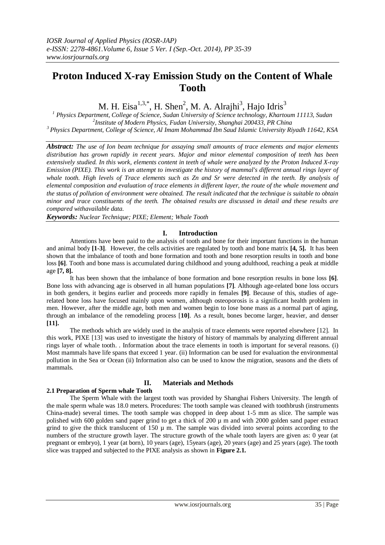# **Proton Induced X-ray Emission Study on the Content of Whale Tooth**

M. H. Eisa $^{1,3,*}$ , H. Shen<sup>2</sup>, M. A. Alrajhi<sup>3</sup>, Hajo Idris<sup>3</sup>

*<sup>1</sup> Physics Department, College of Science, Sudan University of Science technology, Khartoum 11113, Sudan 2 Institute of Modern Physics, Fudan University, Shanghai 200433, PR China <sup>3</sup> Physics Department, College of Science, Al Imam Mohammad Ibn Saud Islamic University Riyadh 11642, KSA*

*Abstract: The use of Ion beam technique for assaying small amounts of trace elements and major elements distribution has grown rapidly in recent years. Major and minor elemental composition of teeth has been extensively studied. In this work, elements content in teeth of whale were analyzed by the Proton Induced X-ray Emission (PIXE). This work is an attempt to investigate the history of mammal's different annual rings layer of whale tooth. High levels of Trace elements such as Zn and Sr were detected in the teeth. By analysis of elemental composition and evaluation of trace elements in different layer, the route of the whale movement and the status of pollution of environment were obtained. The result indicated that the technique is suitable to obtain minor and trace constituents of the teeth. The obtained results are discussed in detail and these results are compared withavailable data.*

*Keywords: Nuclear Technique; PIXE; Element; Whale Tooth*

# **I. Introduction**

Attentions have been paid to the analysis of tooth and bone for their important functions in the human and animal body **[1-3]**. However, the cells activities are regulated by tooth and bone matrix **[4, 5].** It has been shown that the imbalance of tooth and bone formation and tooth and bone resorption results in tooth and bone loss **[6]**. Tooth and bone mass is accumulated during childhood and young adulthood, reaching a peak at middle age **[7, 8].**

It has been shown that the imbalance of bone formation and bone resorption results in bone loss **[6]**. Bone loss with advancing age is observed in all human populations **[7]**. Although age-related bone loss occurs in both genders, it begins earlier and proceeds more rapidly in females **[9]**. Because of this, studies of agerelated bone loss have focused mainly upon women, although osteoporosis is a significant health problem in men. However, after the middle age, both men and women begin to lose bone mass as a normal part of aging, through an imbalance of the remodeling process [**10]**. As a result, bones become larger, heavier, and denser **[11].**

The methods which are widely used in the analysis of trace elements were reported elsewhere [12]. In this work, PIXE [13] was used to investigate the history of history of mammals by analyzing different annual rings layer of whale tooth. . Information about the trace elements in tooth is important for several reasons. (i) Most mammals have life spans that exceed 1 year. (ii) Information can be used for evaluation the environmental pollution in the Sea or Ocean (ii) Information also can be used to know the migration, seasons and the diets of mammals.

# **II. Materials and Methods**

# **2.1 Preparation of Sperm whale Tooth**

The Sperm Whale with the largest tooth was provided by Shanghai Fishers University. The length of the male sperm whale was 18.0 meters. Procedures: The tooth sample was cleaned with toothbrush (instruments China-made) several times. The tooth sample was chopped in deep about 1-5 mm as slice. The sample was polished with 600 golden sand paper grind to get a thick of  $200 \mu$  m and with 2000 golden sand paper extract grind to give the thick translucent of  $150 \mu$  m. The sample was divided into several points according to the numbers of the structure growth layer. The structure growth of the whale tooth layers are given as: 0 year (at pregnant or embryo), 1 year (at born), 10 years (age), 15years (age), 20 years (age) and 25 years (age). The tooth slice was trapped and subjected to the PIXE analysis as shown in **Figure 2.1.**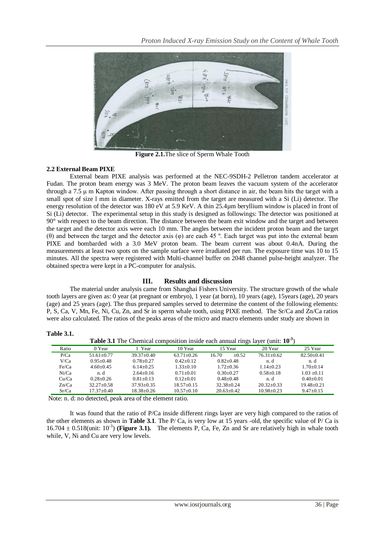

**Figure 2.1.**The slice of Sperm Whale Tooth

## **2.2 External Beam PIXE**

External beam PIXE analysis was performed at the NEC-9SDH-2 Pelletron tandem accelerator at Fudan. The proton beam energy was 3 MeV. The proton beam leaves the vacuum system of the accelerator through a 7.5 μ m Kapton window. After passing through a short distance in air, the beam hits the target with a small spot of size l mm in diameter. X-rays emitted from the target are measured with a Si (Li) detector. The energy resolution of the detector was 180 eV at 5.9 KeV. A thin 25.4µm beryllium window is placed in front of Si (Li) detector. The experimental setup in this study is designed as followings: The detector was positioned at 90° with respect to the beam direction. The distance between the beam exit window and the target and between the target and the detector axis were each 10 mm. The angles between the incident proton beam and the target (θ) and between the target and the detector axis (φ) are each 45 º. Each target was put into the external beam PIXE and bombarded with a 3.0 MeV proton beam. The beam current was about 0.4nA. During the measurements at least two spots on the sample surface were irradiated per run. The exposure time was 10 to 15 minutes. All the spectra were registered with Multi-channel buffer on 2048 channel pulse-height analyzer. The obtained spectra were kept in a PC-computer for analysis.

# **III. Results and discussion**

The material under analysis came from Shanghai Fishers University. The structure growth of the whale tooth layers are given as: 0 year (at pregnant or embryo), 1 year (at born), 10 years (age), 15years (age), 20 years (age) and 25 years (age). The thus prepared samples served to determine the content of the following elements: P, S, Ca, V, Mn, Fe, Ni, Cu, Zn, and Sr in sperm whale tooth, using PIXE method. The Sr/Ca and Zn/Ca ratios were also calculated. The ratios of the peaks areas of the micro and macro elements under study are shown in

| <b>Table 3.1</b> The Chemical composition inside each annual rings layer (unit: $103$ ) |                |                  |                |                  |                  |                 |
|-----------------------------------------------------------------------------------------|----------------|------------------|----------------|------------------|------------------|-----------------|
| Ratio                                                                                   | 0 Year         | Year             | 10 Year        | 15 Year          | 20 Year          | 25 Year         |
| P/Ca                                                                                    | $51.61 + 0.77$ | $39.37+0.40$     | $63.71 + 0.26$ | $+0.52$<br>16.70 | $76.31 + 0.62$   | $82.50+0.41$    |
| V/Ca                                                                                    | $0.95 + 0.48$  | $0.78 + 0.27$    | $0.42+0.12$    | $0.82 + 0.48$    | n. d             | n. d            |
| Fe/Ca                                                                                   | $4.60+0.45$    | $6.14 + 0.25$    | $1.33+0.10$    | $1.72 + 0.36$    | $1.14 + 0.23$    | $1.70+0.14$     |
| Ni/Ca                                                                                   | n. d           | $2.64 + 0.16$    | $0.71 + 0.01$  | $0.30 + 0.27$    | $0.58 + 0.18$    | $1.03 + 0.11$   |
| Cu/Ca                                                                                   | $0.28 + 0.26$  | $0.81 + 0.13$    | $0.12+0.01$    | $0.48 + 0.48$    | n. d             | $0.40 + 0.01$   |
| Zn/Ca                                                                                   | $32.27+0.58$   | $37.93 + 0.35$   | $18.57+0.15$   | $32.38 + 0.24$   | $20.32 + 0.33$   | $19.48 + 0.21$  |
| Sr/Ca                                                                                   | $17.37+0.40$   | $18.38 \pm 0.26$ | $10.57+0.10$   | $20.63 \pm 0.42$ | $10.98 \pm 0.23$ | $9.47 \pm 0.15$ |

**Table 3.1.**

Note: n. d: no detected, peak area of the element ratio.

It was found that the ratio of P/Ca inside different rings layer are very high compared to the ratios of the other elements as shown in **Table 3.1**. The P/ Ca, is very low at 15 years -old, the specific value of P/ Ca is  $16.704 \pm 0.518$ (unit:  $10^{-3}$ ) (**Figure 3.1**). The elements P, Ca, Fe, Zn and Sr are relatively high in whale tooth while, V, Ni and Cu are very low levels.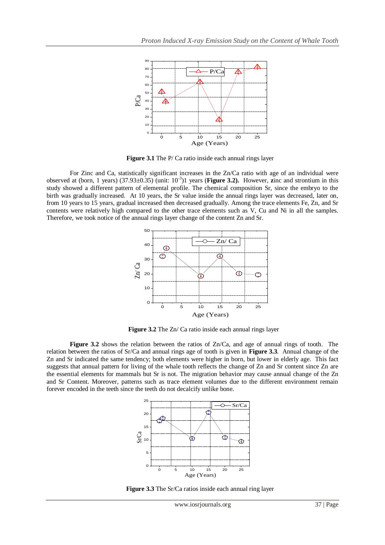

**Figure 3.1** The P/ Ca ratio inside each annual rings layer

For Zinc and Ca, statistically significant increases in the Zn/Ca ratio with age of an individual were observed at (born, 1 years) (37.93±0.35) (unit: 10-3 )1 years (**Figure 3.2).** However, **z**inc and strontium in this study showed a different pattern of elemental profile. The chemical composition Sr, since the embryo to the birth was gradually increased. At 10 years, the Sr value inside the annual rings layer was decreased, later on, from 10 years to 15 years, gradual increased then decreased gradually. Among the trace elements Fe, Zn, and Sr contents were relatively high compared to the other trace elements such as V, Cu and Ni in all the samples. Therefore, we took notice of the annual rings layer change of the content Zn and Sr.



**Figure 3.2** The Zn/ Ca ratio inside each annual rings layer

**Figure 3.2** shows the relation between the ratios of Zn/Ca, and age of annual rings of tooth. The relation between the ratios of Sr/Ca and annual rings age of tooth is given in **Figure 3.3**. Annual change of the Zn and Sr indicated the same tendency; both elements were higher in born, but lower in elderly age. This fact suggests that annual pattern for living of the whale tooth reflects the change of Zn and Sr content since Zn are the essential elements for mammals but Sr is not. The migration behavior may cause annual change of the Zn and Sr Content. Moreover, patterns such as trace element volumes due to the different environment remain forever encoded in the teeth since the teeth do not decalcify unlike bone.



**Figure 3.3** The Sr/Ca ratios inside each annual ring layer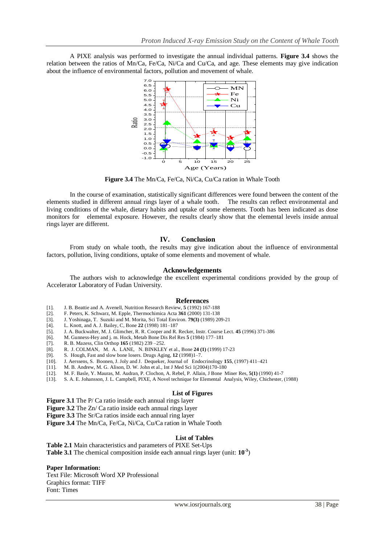A PIXE analysis was performed to investigate the annual individual patterns. **Figure 3.4** shows the relation between the ratios of Mn/Ca, Fe/Ca, Ni/Ca and Cu/Ca, and age. These elements may give indication about the influence of environmental factors, pollution and movement of whale.



**Figure 3.4** The Mn/Ca, Fe/Ca, Ni/Ca, Cu/Ca ration in Whale Tooth

In the course of examination, statistically significant differences were found between the content of the elements studied in different annual rings layer of a whale tooth. The results can reflect environmental and living conditions of the whale, dietary habits and uptake of some elements. Tooth has been indicated as dose monitors for elemental exposure. However, the results clearly show that the elemental levels inside annual rings layer are different.

## **IV. Conclusion**

From study on whale tooth, the results may give indication about the influence of environmental factors, pollution, living conditions, uptake of some elements and movement of whale.

### **Acknowledgements**

The authors wish to acknowledge the excellent experimental conditions provided by the group of Accelerator Laboratory of Fudan University.

#### **References**

- [1]. J. B. Beattie and A. Avenell, Nutrition Research Review, **5** (1992) 167-188
- [2]. F. Peters, K. Schwarz, M. Epple, Thermochimica Acta **361** (2000) 131-138
- [3]. J. Yoshinaga, T. Suzuki and M. Morita, Sci Total Environ. **79(3)** (1989) 209-21
- [4]. L. Knott, and A. J. Bailey, C, Bone **22** (1998) 181–187
- [5]. J. A. Buckwalter, M. J. Glimcher, R. R. Cooper and R. Recker, Instr. Course Lect. **45** (1996) 371-386
- [6]. M. Gunness-Hey and j. m. Hock, Metab Bone Dis Rel Res **5** (1984) 177–181
- [7]. R. B. Mazess, Clin Orthop **165** (1982) 239 –252.
- [8]. R. J. COLMAN, M. A. LANE, N. BINKLEY et al., Bone **24 (1)** (1999) 17-23
- [9]. S. Hough, Fast and slow bone losers. Drugs Aging, **12** (1998)1–7.
- [10]. J. Aerssens, S. Boonen, J. Joly and J. Dequeker, Journal of Endocrinology **155**, (1997) 411–421
- M. B. Andrew, M. G. Alison, D. W. John et al., Int J Med Sci 1(2004)170-180
- [12]. M. F. Basle, Y. Mauras, M. Audran, P. Clochon, A. Rebel, P. Allain, J Bone Miner Res, **5(1)** (1990) 41-7
- [13]. S. A. E. Johansson, J. L. Campbell, PIXE, A Novel technique for Elemental Analysis, Wiley, Chichester, (1988)

#### **List of Figures**

**Figure 3.1** The P/ Ca ratio inside each annual rings layer

- **Figure 3.2** The Zn/ Ca ratio inside each annual rings layer
- **Figure 3.3** The Sr/Ca ratios inside each annual ring layer
- **Figure 3.4** The Mn/Ca, Fe/Ca, Ni/Ca, Cu/Ca ration in Whale Tooth

#### **List of Tables**

**Table 2.1** Main characteristics and parameters of PIXE Set-Ups **Table 3.1** The chemical composition inside each annual rings layer (unit: **10-3** )

## **Paper Information:**

Text File: Microsoft Word XP Professional Graphics format: TIFF Font: Times